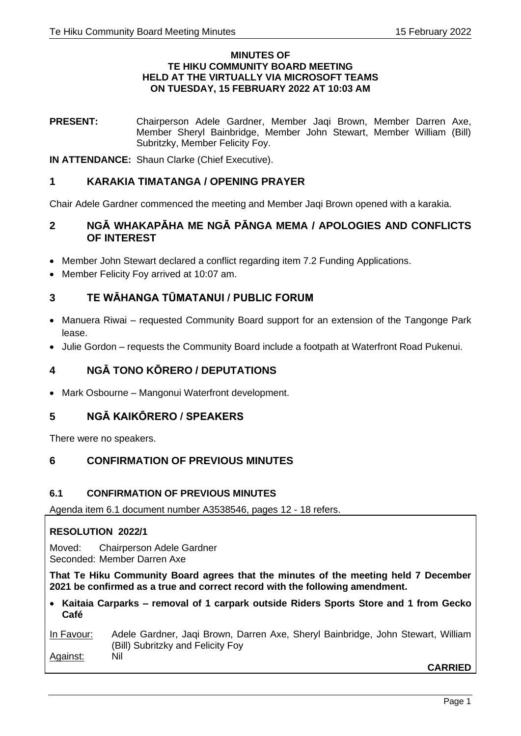#### **MINUTES OF TE HIKU COMMUNITY BOARD MEETING HELD AT THE VIRTUALLY VIA MICROSOFT TEAMS ON TUESDAY, 15 FEBRUARY 2022 AT 10:03 AM**

**PRESENT:** Chairperson Adele Gardner, Member Jaqi Brown, Member Darren Axe, Member Sheryl Bainbridge, Member John Stewart, Member William (Bill) Subritzky, Member Felicity Foy.

**IN ATTENDANCE:** Shaun Clarke (Chief Executive).

# **1 KARAKIA TIMATANGA / OPENING PRAYER**

Chair Adele Gardner commenced the meeting and Member Jaqi Brown opened with a karakia.

# **2 NGĀ WHAKAPĀHA ME NGĀ PĀNGA MEMA / APOLOGIES AND CONFLICTS OF INTEREST**

- Member John Stewart declared a conflict regarding item 7.2 Funding Applications.
- Member Felicity Foy arrived at 10:07 am.

# **3 TE WĀHANGA TŪMATANUI / PUBLIC FORUM**

- Manuera Riwai requested Community Board support for an extension of the Tangonge Park lease.
- Julie Gordon requests the Community Board include a footpath at Waterfront Road Pukenui.

# **4 NGĀ TONO KŌRERO / DEPUTATIONS**

• Mark Osbourne – Mangonui Waterfront development.

# **5 NGĀ KAIKŌRERO / SPEAKERS**

There were no speakers.

# **6 CONFIRMATION OF PREVIOUS MINUTES**

# **6.1 CONFIRMATION OF PREVIOUS MINUTES**

Agenda item 6.1 document number A3538546, pages 12 - 18 refers.

# **RESOLUTION 2022/1**

Moved: Chairperson Adele Gardner Seconded: Member Darren Axe

**That Te Hiku Community Board agrees that the minutes of the meeting held 7 December 2021 be confirmed as a true and correct record with the following amendment.**

• **Kaitaia Carparks – removal of 1 carpark outside Riders Sports Store and 1 from Gecko Café**

### In Favour: Adele Gardner, Jaqi Brown, Darren Axe, Sheryl Bainbridge, John Stewart, William (Bill) Subritzky and Felicity Foy Against: Nil

**CARRIED**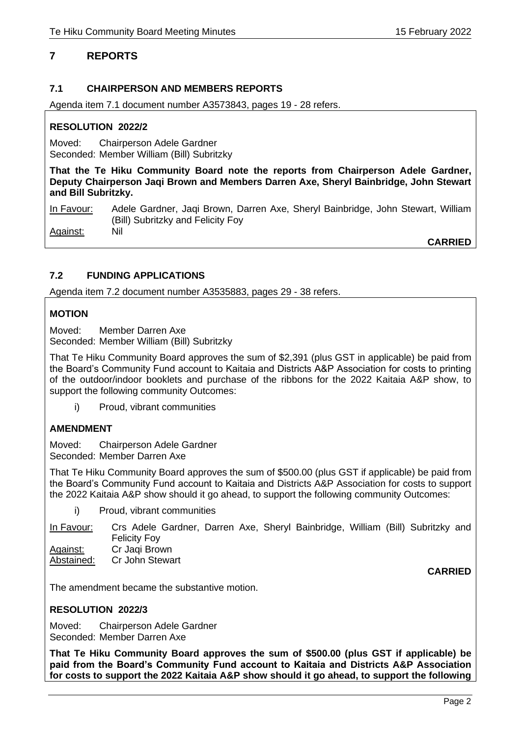# **7 REPORTS**

# **7.1 CHAIRPERSON AND MEMBERS REPORTS**

Agenda item 7.1 document number A3573843, pages 19 - 28 refers.

### **RESOLUTION 2022/2**

Moved: Chairperson Adele Gardner Seconded: Member William (Bill) Subritzky

**That the Te Hiku Community Board note the reports from Chairperson Adele Gardner, Deputy Chairperson Jaqi Brown and Members Darren Axe, Sheryl Bainbridge, John Stewart and Bill Subritzky.**

In Favour: Adele Gardner, Jaqi Brown, Darren Axe, Sheryl Bainbridge, John Stewart, William (Bill) Subritzky and Felicity Foy Against: Nil

**CARRIED**

# **7.2 FUNDING APPLICATIONS**

Agenda item 7.2 document number A3535883, pages 29 - 38 refers.

# **MOTION**

Moved: Member Darren Axe Seconded: Member William (Bill) Subritzky

That Te Hiku Community Board approves the sum of \$2,391 (plus GST in applicable) be paid from the Board's Community Fund account to Kaitaia and Districts A&P Association for costs to printing of the outdoor/indoor booklets and purchase of the ribbons for the 2022 Kaitaia A&P show, to support the following community Outcomes:

i) Proud, vibrant communities

# **AMENDMENT**

Moved: Chairperson Adele Gardner Seconded: Member Darren Axe

That Te Hiku Community Board approves the sum of \$500.00 (plus GST if applicable) be paid from the Board's Community Fund account to Kaitaia and Districts A&P Association for costs to support the 2022 Kaitaia A&P show should it go ahead, to support the following community Outcomes:

i) Proud, vibrant communities

In Favour: Crs Adele Gardner, Darren Axe, Sheryl Bainbridge, William (Bill) Subritzky and Felicity Foy Against: Cr Jaqi Brown

Abstained: Cr John Stewart

**CARRIED**

The amendment became the substantive motion.

# **RESOLUTION 2022/3**

Moved: Chairperson Adele Gardner Seconded: Member Darren Axe

**That Te Hiku Community Board approves the sum of \$500.00 (plus GST if applicable) be paid from the Board's Community Fund account to Kaitaia and Districts A&P Association for costs to support the 2022 Kaitaia A&P show should it go ahead, to support the following**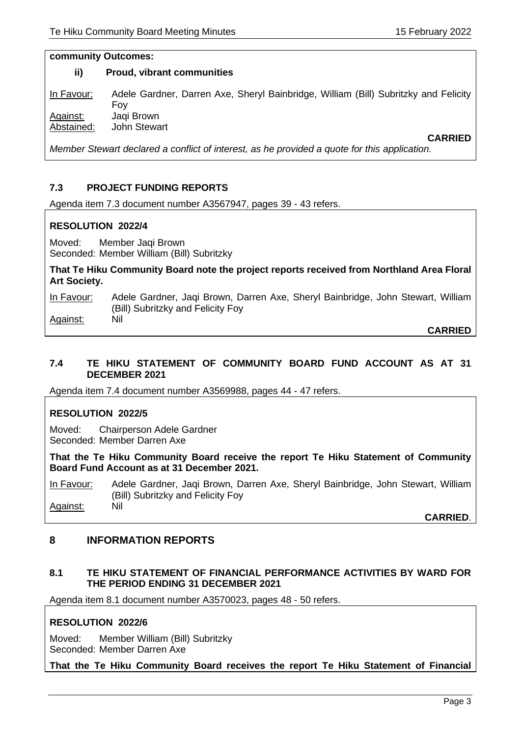#### **community Outcomes:**

#### **ii) Proud, vibrant communities**

In Favour: Adele Gardner, Darren Axe, Sheryl Bainbridge, William (Bill) Subritzky and Felicity Foy Against: Jaqi Brown Abstained: John Stewart **CARRIED**

*Member Stewart declared a conflict of interest, as he provided a quote for this application.*

# **7.3 PROJECT FUNDING REPORTS**

Agenda item 7.3 document number A3567947, pages 39 - 43 refers.

# **RESOLUTION 2022/4**

Moved: Member Jaqi Brown Seconded: Member William (Bill) Subritzky

**That Te Hiku Community Board note the project reports received from Northland Area Floral Art Society.**

In Favour: Adele Gardner, Jaqi Brown, Darren Axe, Sheryl Bainbridge, John Stewart, William (Bill) Subritzky and Felicity Foy Against: Nil

**CARRIED**

# **7.4 TE HIKU STATEMENT OF COMMUNITY BOARD FUND ACCOUNT AS AT 31 DECEMBER 2021**

Agenda item 7.4 document number A3569988, pages 44 - 47 refers.

# **RESOLUTION 2022/5**

Moved: Chairperson Adele Gardner Seconded: Member Darren Axe

**That the Te Hiku Community Board receive the report Te Hiku Statement of Community Board Fund Account as at 31 December 2021.**

In Favour: Adele Gardner, Jaqi Brown, Darren Axe, Sheryl Bainbridge, John Stewart, William (Bill) Subritzky and Felicity Foy Against: Nil

**CARRIED**.

# **8 INFORMATION REPORTS**

# **8.1 TE HIKU STATEMENT OF FINANCIAL PERFORMANCE ACTIVITIES BY WARD FOR THE PERIOD ENDING 31 DECEMBER 2021**

Agenda item 8.1 document number A3570023, pages 48 - 50 refers.

# **RESOLUTION 2022/6**

Moved: Member William (Bill) Subritzky Seconded: Member Darren Axe

**That the Te Hiku Community Board receives the report Te Hiku Statement of Financial**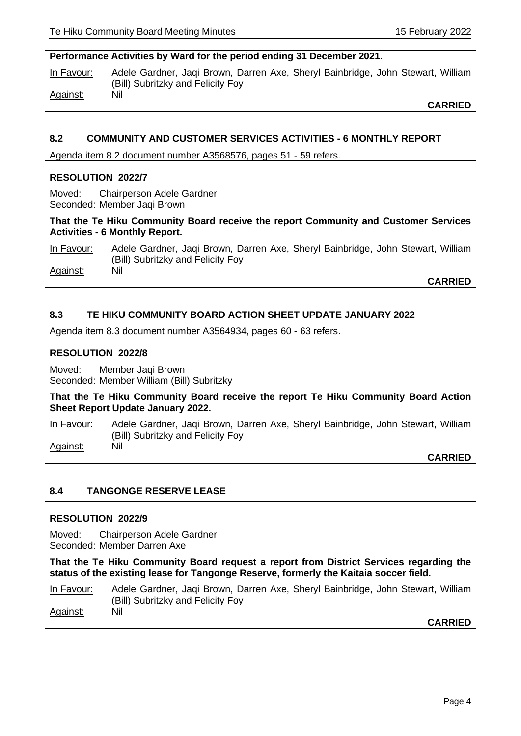### **Performance Activities by Ward for the period ending 31 December 2021.**

In Favour: Adele Gardner, Jaqi Brown, Darren Axe, Sheryl Bainbridge, John Stewart, William (Bill) Subritzky and Felicity Foy Against: Nil

**CARRIED**

### **8.2 COMMUNITY AND CUSTOMER SERVICES ACTIVITIES - 6 MONTHLY REPORT**

Agenda item 8.2 document number A3568576, pages 51 - 59 refers.

# **RESOLUTION 2022/7**

Moved: Chairperson Adele Gardner Seconded: Member Jaqi Brown

**That the Te Hiku Community Board receive the report Community and Customer Services Activities - 6 Monthly Report.**

In Favour: Adele Gardner, Jaqi Brown, Darren Axe, Sheryl Bainbridge, John Stewart, William (Bill) Subritzky and Felicity Foy Against: Nil

**CARRIED**

# **8.3 TE HIKU COMMUNITY BOARD ACTION SHEET UPDATE JANUARY 2022**

Agenda item 8.3 document number A3564934, pages 60 - 63 refers.

#### **RESOLUTION 2022/8**

Moved: Member Jaqi Brown Seconded: Member William (Bill) Subritzky

**That the Te Hiku Community Board receive the report Te Hiku Community Board Action Sheet Report Update January 2022.** 

In Favour: Adele Gardner, Jaqi Brown, Darren Axe, Sheryl Bainbridge, John Stewart, William (Bill) Subritzky and Felicity Foy Against: Nil

**CARRIED**

#### **8.4 TANGONGE RESERVE LEASE**

#### **RESOLUTION 2022/9**

Moved: Chairperson Adele Gardner Seconded: Member Darren Axe

**That the Te Hiku Community Board request a report from District Services regarding the status of the existing lease for Tangonge Reserve, formerly the Kaitaia soccer field.**

In Favour: Adele Gardner, Jaqi Brown, Darren Axe, Sheryl Bainbridge, John Stewart, William (Bill) Subritzky and Felicity Foy Against: Nil

**CARRIED**